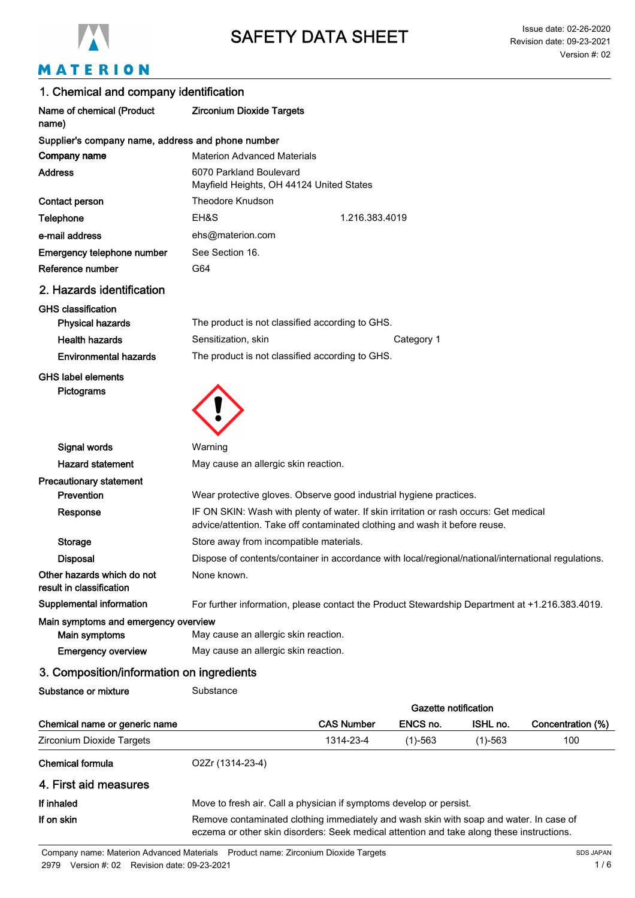

# MATERION

| 1. Chemical and company identification                 |                                                                                                                                                                     |
|--------------------------------------------------------|---------------------------------------------------------------------------------------------------------------------------------------------------------------------|
| Name of chemical (Product<br>name)                     | <b>Zirconium Dioxide Targets</b>                                                                                                                                    |
| Supplier's company name, address and phone number      |                                                                                                                                                                     |
| Company name                                           | <b>Materion Advanced Materials</b>                                                                                                                                  |
| <b>Address</b>                                         | 6070 Parkland Boulevard<br>Mayfield Heights, OH 44124 United States                                                                                                 |
| Contact person                                         | <b>Theodore Knudson</b>                                                                                                                                             |
| Telephone                                              | EH&S<br>1.216.383.4019                                                                                                                                              |
| e-mail address                                         | ehs@materion.com                                                                                                                                                    |
| Emergency telephone number                             | See Section 16.                                                                                                                                                     |
| Reference number                                       | G64                                                                                                                                                                 |
| 2. Hazards identification                              |                                                                                                                                                                     |
| <b>GHS classification</b>                              |                                                                                                                                                                     |
| <b>Physical hazards</b>                                | The product is not classified according to GHS.                                                                                                                     |
| <b>Health hazards</b>                                  | Sensitization, skin<br>Category 1                                                                                                                                   |
| <b>Environmental hazards</b>                           | The product is not classified according to GHS.                                                                                                                     |
| <b>GHS label elements</b><br>Pictograms                |                                                                                                                                                                     |
| Signal words                                           | Warning                                                                                                                                                             |
| <b>Hazard statement</b>                                | May cause an allergic skin reaction.                                                                                                                                |
| <b>Precautionary statement</b>                         |                                                                                                                                                                     |
| Prevention                                             | Wear protective gloves. Observe good industrial hygiene practices.                                                                                                  |
| Response                                               | IF ON SKIN: Wash with plenty of water. If skin irritation or rash occurs: Get medical<br>advice/attention. Take off contaminated clothing and wash it before reuse. |
| <b>Storage</b>                                         | Store away from incompatible materials.                                                                                                                             |
| <b>Disposal</b>                                        | Dispose of contents/container in accordance with local/regional/national/international regulations.                                                                 |
| Other hazards which do not<br>result in classification | None known.                                                                                                                                                         |
| <b>Supplemental information</b>                        | For further information, please contact the Product Stewardship Department at +1.216.383.4019.                                                                      |
| Main symptoms and emergency overview                   |                                                                                                                                                                     |
| Main symptoms                                          | May cause an allergic skin reaction.                                                                                                                                |
| <b>Emergency overview</b>                              | May cause an allergic skin reaction.                                                                                                                                |
| 3. Composition/information on ingredients              |                                                                                                                                                                     |
| Substance or mixture                                   | Substance                                                                                                                                                           |

|                               |                                                                                                                                                                                     | Gazette notification |           |           |                   |
|-------------------------------|-------------------------------------------------------------------------------------------------------------------------------------------------------------------------------------|----------------------|-----------|-----------|-------------------|
| Chemical name or generic name |                                                                                                                                                                                     | <b>CAS Number</b>    | ENCS no.  | ISHL no.  | Concentration (%) |
| Zirconium Dioxide Targets     |                                                                                                                                                                                     | 1314-23-4            | $(1)-563$ | $(1)-563$ | 100               |
| Chemical formula              | O2Zr (1314-23-4)                                                                                                                                                                    |                      |           |           |                   |
| 4. First aid measures         |                                                                                                                                                                                     |                      |           |           |                   |
| If inhaled                    | Move to fresh air. Call a physician if symptoms develop or persist.                                                                                                                 |                      |           |           |                   |
| If on skin                    | Remove contaminated clothing immediately and wash skin with soap and water. In case of<br>eczema or other skin disorders: Seek medical attention and take along these instructions. |                      |           |           |                   |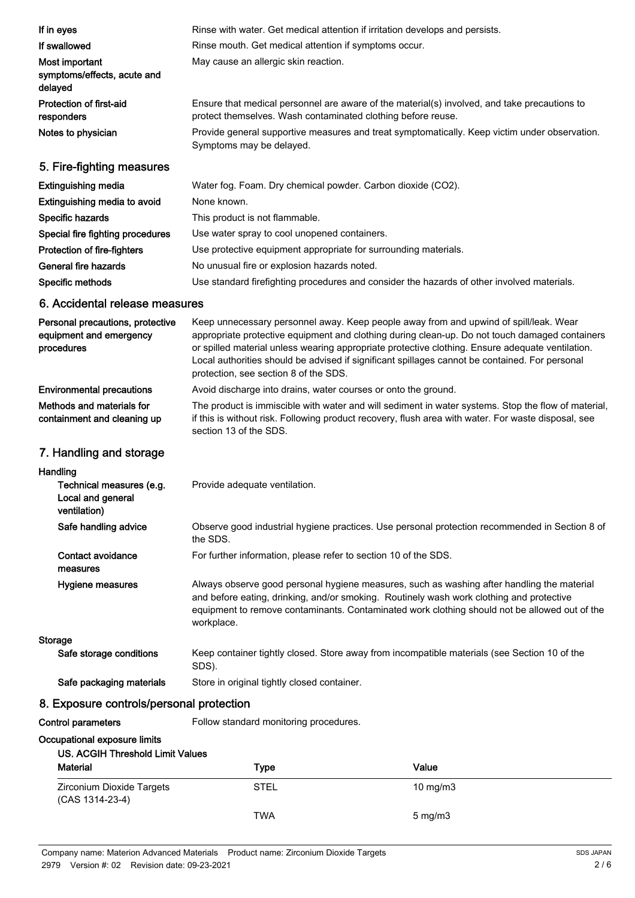| If in eyes                                                                | Rinse with water. Get medical attention if irritation develops and persists.                                                                                                                                                                                                                                                                                                                                                           |
|---------------------------------------------------------------------------|----------------------------------------------------------------------------------------------------------------------------------------------------------------------------------------------------------------------------------------------------------------------------------------------------------------------------------------------------------------------------------------------------------------------------------------|
| If swallowed                                                              | Rinse mouth. Get medical attention if symptoms occur.                                                                                                                                                                                                                                                                                                                                                                                  |
| Most important<br>symptoms/effects, acute and<br>delayed                  | May cause an allergic skin reaction.                                                                                                                                                                                                                                                                                                                                                                                                   |
| <b>Protection of first-aid</b><br>responders                              | Ensure that medical personnel are aware of the material(s) involved, and take precautions to<br>protect themselves. Wash contaminated clothing before reuse.                                                                                                                                                                                                                                                                           |
| Notes to physician                                                        | Provide general supportive measures and treat symptomatically. Keep victim under observation.<br>Symptoms may be delayed.                                                                                                                                                                                                                                                                                                              |
| 5. Fire-fighting measures                                                 |                                                                                                                                                                                                                                                                                                                                                                                                                                        |
| <b>Extinguishing media</b>                                                | Water fog. Foam. Dry chemical powder. Carbon dioxide (CO2).                                                                                                                                                                                                                                                                                                                                                                            |
| Extinguishing media to avoid                                              | None known.                                                                                                                                                                                                                                                                                                                                                                                                                            |
| Specific hazards                                                          | This product is not flammable.                                                                                                                                                                                                                                                                                                                                                                                                         |
| Special fire fighting procedures                                          | Use water spray to cool unopened containers.                                                                                                                                                                                                                                                                                                                                                                                           |
| Protection of fire-fighters                                               | Use protective equipment appropriate for surrounding materials.                                                                                                                                                                                                                                                                                                                                                                        |
| General fire hazards                                                      | No unusual fire or explosion hazards noted.                                                                                                                                                                                                                                                                                                                                                                                            |
| Specific methods                                                          | Use standard firefighting procedures and consider the hazards of other involved materials.                                                                                                                                                                                                                                                                                                                                             |
| 6. Accidental release measures                                            |                                                                                                                                                                                                                                                                                                                                                                                                                                        |
| Personal precautions, protective<br>equipment and emergency<br>procedures | Keep unnecessary personnel away. Keep people away from and upwind of spill/leak. Wear<br>appropriate protective equipment and clothing during clean-up. Do not touch damaged containers<br>or spilled material unless wearing appropriate protective clothing. Ensure adequate ventilation.<br>Local authorities should be advised if significant spillages cannot be contained. For personal<br>protection, see section 8 of the SDS. |
| <b>Environmental precautions</b>                                          | Avoid discharge into drains, water courses or onto the ground.                                                                                                                                                                                                                                                                                                                                                                         |
| Methods and materials for<br>containment and cleaning up                  | The product is immiscible with water and will sediment in water systems. Stop the flow of material,<br>if this is without risk. Following product recovery, flush area with water. For waste disposal, see<br>section 13 of the SDS.                                                                                                                                                                                                   |
| 7. Handling and storage                                                   |                                                                                                                                                                                                                                                                                                                                                                                                                                        |
| Handling                                                                  |                                                                                                                                                                                                                                                                                                                                                                                                                                        |
| Technical measures (e.g.<br>Local and general<br>ventilation)             | Provide adequate ventilation.                                                                                                                                                                                                                                                                                                                                                                                                          |
| Safe handling advice                                                      | Observe good industrial hygiene practices. Use personal protection recommended in Section 8 of<br>the SDS.                                                                                                                                                                                                                                                                                                                             |
| Contact avoidance<br>measures                                             | For further information, please refer to section 10 of the SDS.                                                                                                                                                                                                                                                                                                                                                                        |
| Hygiene measures                                                          | Always observe good personal hygiene measures, such as washing after handling the material<br>and before eating, drinking, and/or smoking. Routinely wash work clothing and protective<br>equipment to remove contaminants. Contaminated work clothing should not be allowed out of the<br>workplace.                                                                                                                                  |
| <b>Storage</b>                                                            |                                                                                                                                                                                                                                                                                                                                                                                                                                        |
| Safe storage conditions                                                   | Keep container tightly closed. Store away from incompatible materials (see Section 10 of the<br>SDS).                                                                                                                                                                                                                                                                                                                                  |
| Safe packaging materials                                                  | Store in original tightly closed container.                                                                                                                                                                                                                                                                                                                                                                                            |
| 8. Exposure controls/personal protection                                  |                                                                                                                                                                                                                                                                                                                                                                                                                                        |
| Control parameters                                                        | Follow standard monitoring procedures.                                                                                                                                                                                                                                                                                                                                                                                                 |
| Occupational exposure limits<br><b>US. ACGIH Threshold Limit Values</b>   |                                                                                                                                                                                                                                                                                                                                                                                                                                        |

| _ _ _ _  _ _  _ _<br><b>Material</b>         | <b>Type</b> | Value             |  |
|----------------------------------------------|-------------|-------------------|--|
| Zirconium Dioxide Targets<br>(CAS 1314-23-4) | <b>STEL</b> | $10 \text{ mg/m}$ |  |
|                                              | <b>TWA</b>  | $5 \text{ mg/m}$  |  |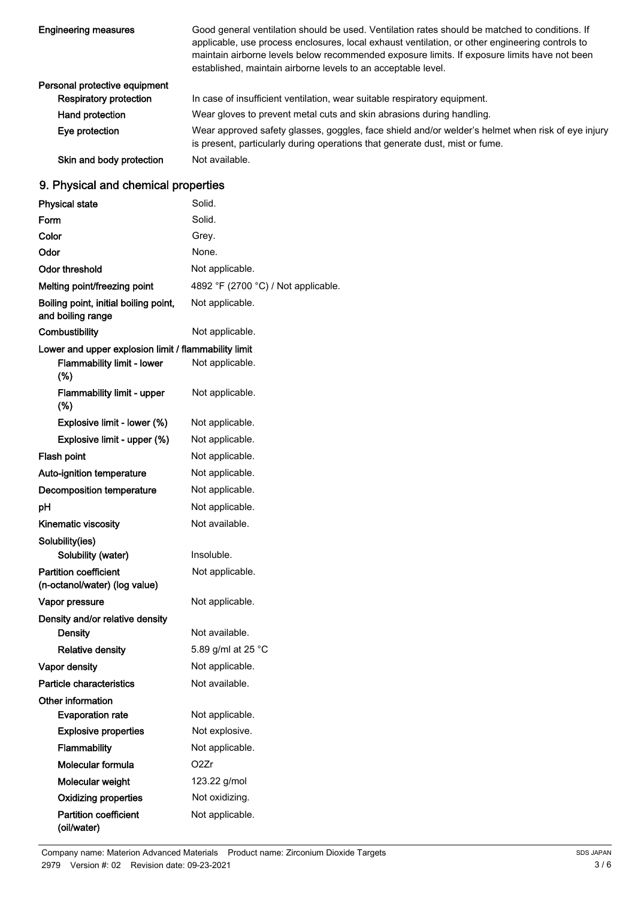| <b>Engineering measures</b>   | Good general ventilation should be used. Ventilation rates should be matched to conditions. If<br>applicable, use process enclosures, local exhaust ventilation, or other engineering controls to<br>maintain airborne levels below recommended exposure limits. If exposure limits have not been<br>established, maintain airborne levels to an acceptable level. |
|-------------------------------|--------------------------------------------------------------------------------------------------------------------------------------------------------------------------------------------------------------------------------------------------------------------------------------------------------------------------------------------------------------------|
| Personal protective equipment |                                                                                                                                                                                                                                                                                                                                                                    |
| <b>Respiratory protection</b> | In case of insufficient ventilation, wear suitable respiratory equipment.                                                                                                                                                                                                                                                                                          |
| Hand protection               | Wear gloves to prevent metal cuts and skin abrasions during handling.                                                                                                                                                                                                                                                                                              |
| Eye protection                | Wear approved safety glasses, goggles, face shield and/or welder's helmet when risk of eye injury<br>is present, particularly during operations that generate dust, mist or fume.                                                                                                                                                                                  |
| Skin and body protection      | Not available.                                                                                                                                                                                                                                                                                                                                                     |

## 9. Physical and chemical properties

| <b>Physical state</b>                                         | Solid.                              |
|---------------------------------------------------------------|-------------------------------------|
| Form                                                          | Solid.                              |
| Color                                                         | Grey.                               |
| Odor                                                          | None.                               |
| Odor threshold                                                | Not applicable.                     |
| Melting point/freezing point                                  | 4892 °F (2700 °C) / Not applicable. |
| Boiling point, initial boiling point,<br>and boiling range    | Not applicable.                     |
| Combustibility                                                | Not applicable.                     |
| Lower and upper explosion limit / flammability limit          |                                     |
| <b>Flammability limit - lower</b><br>$(\%)$                   | Not applicable.                     |
| Flammability limit - upper<br>(%)                             | Not applicable.                     |
| Explosive limit - lower (%)                                   | Not applicable.                     |
| Explosive limit - upper (%)                                   | Not applicable.                     |
| Flash point                                                   | Not applicable.                     |
| Auto-ignition temperature                                     | Not applicable.                     |
| Decomposition temperature                                     | Not applicable.                     |
| рH                                                            | Not applicable.                     |
| <b>Kinematic viscosity</b>                                    | Not available.                      |
| Solubility(ies)                                               |                                     |
| Solubility (water)                                            | Insoluble.                          |
| <b>Partition coefficient</b><br>(n-octanol/water) (log value) | Not applicable.                     |
| Vapor pressure                                                | Not applicable.                     |
| Density and/or relative density                               |                                     |
| <b>Density</b>                                                | Not available.                      |
| <b>Relative density</b>                                       | 5.89 g/ml at 25 °C                  |
| <b>Vapor density</b>                                          | Not applicable.                     |
| Particle characteristics                                      | Not available.                      |
| Other information                                             |                                     |
| <b>Evaporation rate</b>                                       | Not applicable.                     |
| <b>Explosive properties</b>                                   | Not explosive.                      |
| Flammability                                                  | Not applicable.                     |
| Molecular formula                                             | O2Zr                                |
| Molecular weight                                              | 123.22 g/mol                        |
| <b>Oxidizing properties</b>                                   | Not oxidizing.                      |
| <b>Partition coefficient</b><br>(oil/water)                   | Not applicable.                     |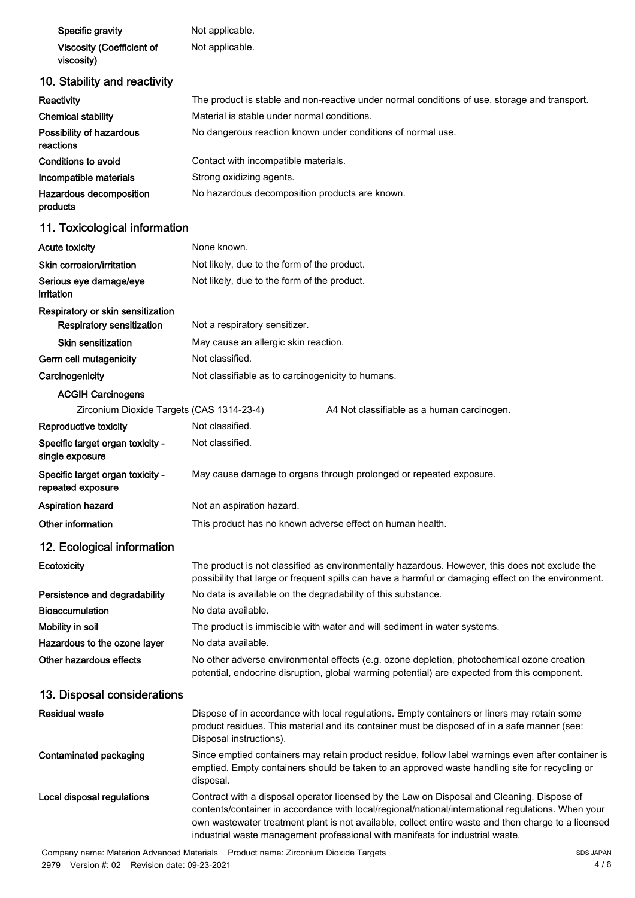| Specific gravity                                      | Not applicable.                                                                                                                                                                                                        |  |
|-------------------------------------------------------|------------------------------------------------------------------------------------------------------------------------------------------------------------------------------------------------------------------------|--|
| <b>Viscosity (Coefficient of</b><br>viscosity)        | Not applicable.                                                                                                                                                                                                        |  |
| 10. Stability and reactivity                          |                                                                                                                                                                                                                        |  |
| Reactivity                                            | The product is stable and non-reactive under normal conditions of use, storage and transport.                                                                                                                          |  |
| <b>Chemical stability</b>                             | Material is stable under normal conditions.                                                                                                                                                                            |  |
| Possibility of hazardous<br>reactions                 | No dangerous reaction known under conditions of normal use.                                                                                                                                                            |  |
| Conditions to avoid                                   | Contact with incompatible materials.                                                                                                                                                                                   |  |
| Incompatible materials                                | Strong oxidizing agents.                                                                                                                                                                                               |  |
| Hazardous decomposition<br>products                   | No hazardous decomposition products are known.                                                                                                                                                                         |  |
| 11. Toxicological information                         |                                                                                                                                                                                                                        |  |
| <b>Acute toxicity</b>                                 | None known.                                                                                                                                                                                                            |  |
| Skin corrosion/irritation                             | Not likely, due to the form of the product.                                                                                                                                                                            |  |
| Serious eye damage/eye<br>irritation                  | Not likely, due to the form of the product.                                                                                                                                                                            |  |
| Respiratory or skin sensitization                     |                                                                                                                                                                                                                        |  |
| Respiratory sensitization                             | Not a respiratory sensitizer.                                                                                                                                                                                          |  |
| <b>Skin sensitization</b>                             | May cause an allergic skin reaction.                                                                                                                                                                                   |  |
| Germ cell mutagenicity                                | Not classified.                                                                                                                                                                                                        |  |
| Carcinogenicity                                       | Not classifiable as to carcinogenicity to humans.                                                                                                                                                                      |  |
| <b>ACGIH Carcinogens</b>                              |                                                                                                                                                                                                                        |  |
| Zirconium Dioxide Targets (CAS 1314-23-4)             | A4 Not classifiable as a human carcinogen.                                                                                                                                                                             |  |
| Reproductive toxicity                                 | Not classified.                                                                                                                                                                                                        |  |
| Specific target organ toxicity -<br>single exposure   | Not classified.                                                                                                                                                                                                        |  |
| Specific target organ toxicity -<br>repeated exposure | May cause damage to organs through prolonged or repeated exposure.                                                                                                                                                     |  |
| <b>Aspiration hazard</b>                              | Not an aspiration hazard.                                                                                                                                                                                              |  |
| Other information                                     | This product has no known adverse effect on human health.                                                                                                                                                              |  |
| 12. Ecological information                            |                                                                                                                                                                                                                        |  |
| Ecotoxicity                                           | The product is not classified as environmentally hazardous. However, this does not exclude the<br>possibility that large or frequent spills can have a harmful or damaging effect on the environment.                  |  |
| Persistence and degradability                         | No data is available on the degradability of this substance.                                                                                                                                                           |  |
| <b>Bioaccumulation</b>                                | No data available.                                                                                                                                                                                                     |  |
| Mobility in soil                                      | The product is immiscible with water and will sediment in water systems.                                                                                                                                               |  |
| Hazardous to the ozone layer                          | No data available.                                                                                                                                                                                                     |  |
| Other hazardous effects                               | No other adverse environmental effects (e.g. ozone depletion, photochemical ozone creation<br>potential, endocrine disruption, global warming potential) are expected from this component.                             |  |
| 13. Disposal considerations                           |                                                                                                                                                                                                                        |  |
| <b>Residual waste</b>                                 | Dispose of in accordance with local regulations. Empty containers or liners may retain some<br>product residues. This material and its container must be disposed of in a safe manner (see:<br>Disposal instructions). |  |
|                                                       |                                                                                                                                                                                                                        |  |

Since emptied containers may retain product residue, follow label warnings even after container is emptied. Empty containers should be taken to an approved waste handling site for recycling or disposal. Contaminated packaging Contract with a disposal operator licensed by the Law on Disposal and Cleaning. Dispose of

contents/container in accordance with local/regional/national/international regulations. When your own wastewater treatment plant is not available, collect entire waste and then charge to a licensed industrial waste management professional with manifests for industrial waste. Local disposal regulations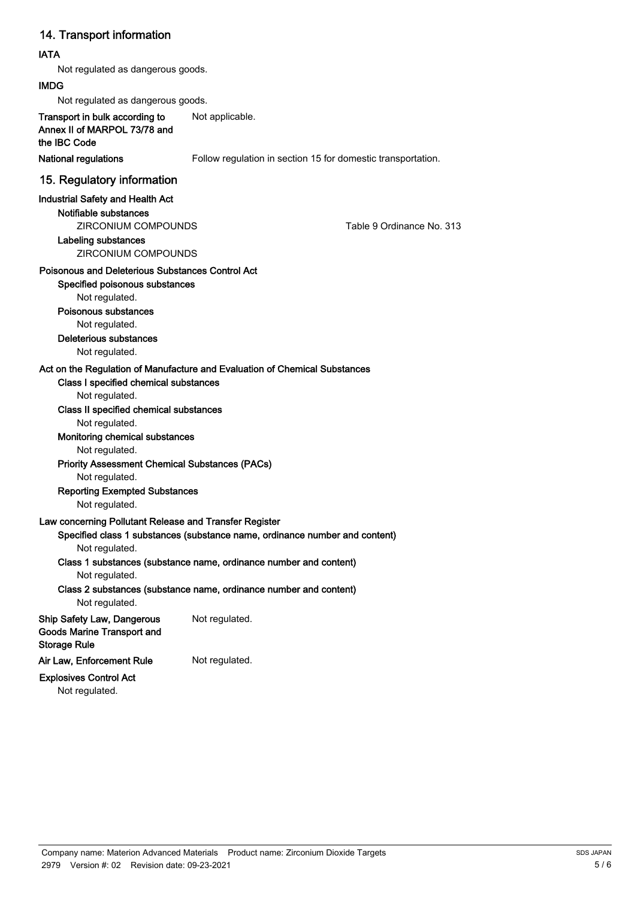### 14. Transport information

#### IATA

Not regulated as dangerous goods.

#### IMDG

Not regulated as dangerous goods.

Transport in bulk according to Not applicable. Annex II of MARPOL 73/78 and the IBC Code

National regulations Follow regulation in section 15 for domestic transportation.

#### 15. Regulatory information

#### Industrial Safety and Health Act

Notifiable substances

ZIRCONIUM COMPOUNDS Table 9 Ordinance No. 313

Labeling substances

ZIRCONIUM COMPOUNDS

#### Poisonous and Deleterious Substances Control Act

#### Specified poisonous substances

Not regulated.

#### Poisonous substances

Not regulated.

Deleterious substances

Not regulated.

#### Act on the Regulation of Manufacture and Evaluation of Chemical Substances

#### Class I specified chemical substances

Not regulated.

#### Class II specified chemical substances

#### Not regulated.

#### Monitoring chemical substances

Not regulated.

#### Priority Assessment Chemical Substances (PACs)

Not regulated.

#### Reporting Exempted Substances

Not regulated.

#### Law concerning Pollutant Release and Transfer Register

Specified class 1 substances (substance name, ordinance number and content) Not regulated.

#### Class 1 substances (substance name, ordinance number and content) Not regulated.

Class 2 substances (substance name, ordinance number and content)

Not regulated.

#### Ship Safety Law, Dangerous Not regulated. Goods Marine Transport and Storage Rule

Air Law, Enforcement Rule Not regulated.

#### Explosives Control Act Not regulated.